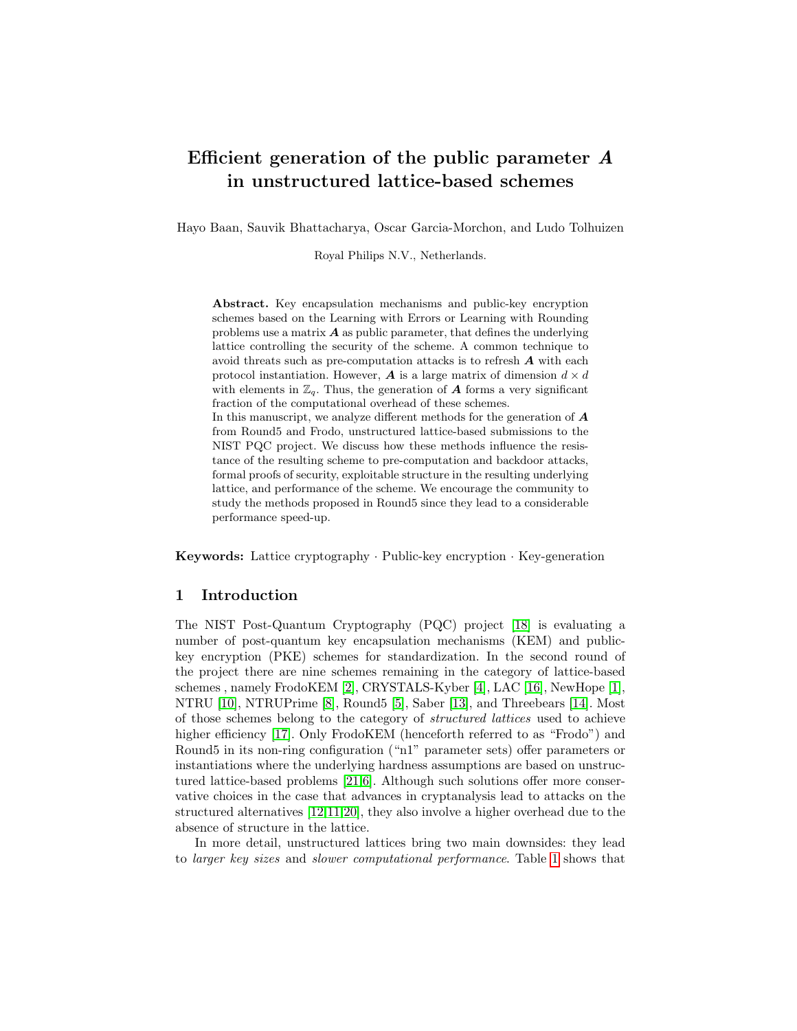# Efficient generation of the public parameter A in unstructured lattice-based schemes

Hayo Baan, Sauvik Bhattacharya, Oscar Garcia-Morchon, and Ludo Tolhuizen

Royal Philips N.V., Netherlands.

Abstract. Key encapsulation mechanisms and public-key encryption schemes based on the Learning with Errors or Learning with Rounding problems use a matrix  $\boldsymbol{A}$  as public parameter, that defines the underlying lattice controlling the security of the scheme. A common technique to avoid threats such as pre-computation attacks is to refresh A with each protocol instantiation. However,  $\boldsymbol{A}$  is a large matrix of dimension  $d \times d$ with elements in  $\mathbb{Z}_q$ . Thus, the generation of **A** forms a very significant fraction of the computational overhead of these schemes. In this manuscript, we analyze different methods for the generation of  $\boldsymbol{A}$ from Round5 and Frodo, unstructured lattice-based submissions to the NIST PQC project. We discuss how these methods influence the resistance of the resulting scheme to pre-computation and backdoor attacks, formal proofs of security, exploitable structure in the resulting underlying lattice, and performance of the scheme. We encourage the community to study the methods proposed in Round5 since they lead to a considerable performance speed-up.

Keywords: Lattice cryptography · Public-key encryption · Key-generation

# 1 Introduction

The NIST Post-Quantum Cryptography (PQC) project [\[18\]](#page-13-0) is evaluating a number of post-quantum key encapsulation mechanisms (KEM) and publickey encryption (PKE) schemes for standardization. In the second round of the project there are nine schemes remaining in the category of lattice-based schemes , namely FrodoKEM [\[2\]](#page-12-0), CRYSTALS-Kyber [\[4\]](#page-12-1), LAC [\[16\]](#page-12-2), NewHope [\[1\]](#page-11-0), NTRU [\[10\]](#page-12-3), NTRUPrime [\[8\]](#page-12-4), Round5 [\[5\]](#page-12-5), Saber [\[13\]](#page-12-6), and Threebears [\[14\]](#page-12-7). Most of those schemes belong to the category of structured lattices used to achieve higher efficiency [\[17\]](#page-13-1). Only FrodoKEM (henceforth referred to as "Frodo") and Round5 in its non-ring configuration ("n1" parameter sets) offer parameters or instantiations where the underlying hardness assumptions are based on unstructured lattice-based problems [\[21,](#page-13-2)[6\]](#page-12-8). Although such solutions offer more conservative choices in the case that advances in cryptanalysis lead to attacks on the structured alternatives [\[12,](#page-12-9)[11](#page-12-10)[,20\]](#page-13-3), they also involve a higher overhead due to the absence of structure in the lattice.

In more detail, unstructured lattices bring two main downsides: they lead to larger key sizes and slower computational performance. Table [1](#page-1-0) shows that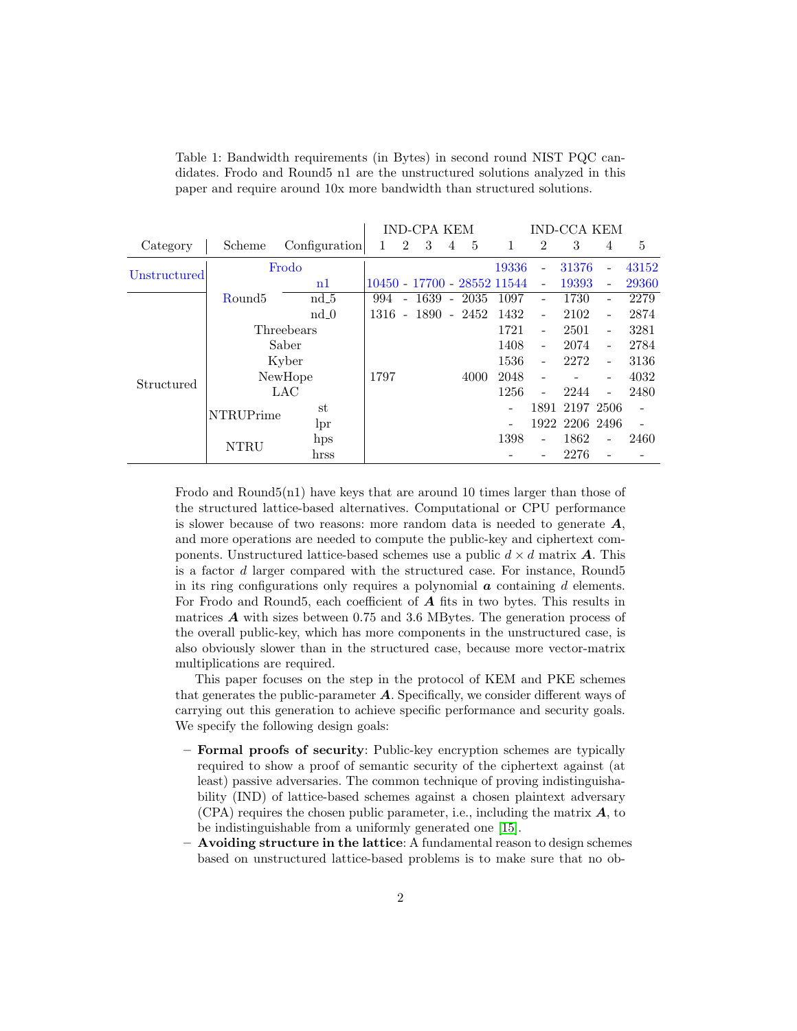|              |                    |               |              |                          | <b>IND-CPA KEM</b> |                |                | <b>IND-CCA KEM</b>          |                              |                |                          |       |
|--------------|--------------------|---------------|--------------|--------------------------|--------------------|----------------|----------------|-----------------------------|------------------------------|----------------|--------------------------|-------|
| Category     | Scheme             | Configuration | $\mathbf{1}$ | $\overline{2}$           | 3                  | $\overline{4}$ | 5              | 1                           | $\overline{2}$               | 3              | 4                        | 5     |
|              |                    | Frodo         |              |                          |                    |                |                | 19336                       | $\qquad \qquad \blacksquare$ | 31376          |                          | 43152 |
| Unstructured |                    | n1            |              |                          |                    |                |                | 10450 - 17700 - 28552 11544 | $\equiv$                     | 19393          | $\overline{a}$           | 29360 |
|              | Round <sub>5</sub> | $nd_5$        | 994          | $\overline{\phantom{a}}$ |                    |                | $1639 - 2035$  | 1097                        | $\overline{\phantom{0}}$     | 1730           | -                        | 2279  |
|              |                    | $nd_0$        | 1316         |                          |                    |                | $-1890 - 2452$ | 1432                        | $\overline{a}$               | 2102           | $\overline{\phantom{0}}$ | 2874  |
|              |                    | Threebears    |              |                          |                    |                |                | 1721                        | $\overline{\phantom{a}}$     | 2501           | $\overline{\phantom{0}}$ | 3281  |
|              |                    | Saber         |              |                          |                    |                |                | 1408                        | $\overline{\phantom{m}}$     | 2074           | $\overline{\phantom{0}}$ | 2784  |
|              |                    | Kyber         |              |                          |                    |                |                | 1536                        | $\blacksquare$               | 2272           | $\overline{a}$           | 3136  |
| Structured   |                    | NewHope       | 1797         |                          |                    |                | 4000           | 2048                        |                              |                | -                        | 4032  |
|              |                    | LAC           |              |                          |                    |                |                | 1256                        |                              | 2244           | $\overline{a}$           | 2480  |
|              | <b>NTRUPrime</b>   | st            |              |                          |                    |                |                |                             |                              | 1891 2197 2506 |                          |       |
|              |                    | lpr           |              |                          |                    |                |                |                             |                              | 1922 2206 2496 |                          |       |
|              | <b>NTRU</b>        | hps           |              |                          |                    |                |                | 1398                        | $\overline{\phantom{0}}$     | 1862           | $\overline{a}$           | 2460  |
|              |                    | hrss          |              |                          |                    |                |                |                             |                              | 2276           |                          |       |

<span id="page-1-0"></span>Table 1: Bandwidth requirements (in Bytes) in second round NIST PQC candidates. Frodo and Round5 n1 are the unstructured solutions analyzed in this paper and require around 10x more bandwidth than structured solutions.

Frodo and Round5(n1) have keys that are around 10 times larger than those of the structured lattice-based alternatives. Computational or CPU performance is slower because of two reasons: more random data is needed to generate  $A$ , and more operations are needed to compute the public-key and ciphertext components. Unstructured lattice-based schemes use a public  $d \times d$  matrix **A**. This is a factor d larger compared with the structured case. For instance, Round5 in its ring configurations only requires a polynomial  $a$  containing  $d$  elements. For Frodo and Round5, each coefficient of  $A$  fits in two bytes. This results in matrices  $\boldsymbol{A}$  with sizes between 0.75 and 3.6 MBytes. The generation process of the overall public-key, which has more components in the unstructured case, is also obviously slower than in the structured case, because more vector-matrix multiplications are required.

This paper focuses on the step in the protocol of KEM and PKE schemes that generates the public-parameter  $A$ . Specifically, we consider different ways of carrying out this generation to achieve specific performance and security goals. We specify the following design goals:

- Formal proofs of security: Public-key encryption schemes are typically required to show a proof of semantic security of the ciphertext against (at least) passive adversaries. The common technique of proving indistinguishability (IND) of lattice-based schemes against a chosen plaintext adversary  $(CPA)$  requires the chosen public parameter, i.e., including the matrix  $A$ , to be indistinguishable from a uniformly generated one [\[15\]](#page-12-11).
- Avoiding structure in the lattice: A fundamental reason to design schemes based on unstructured lattice-based problems is to make sure that no ob-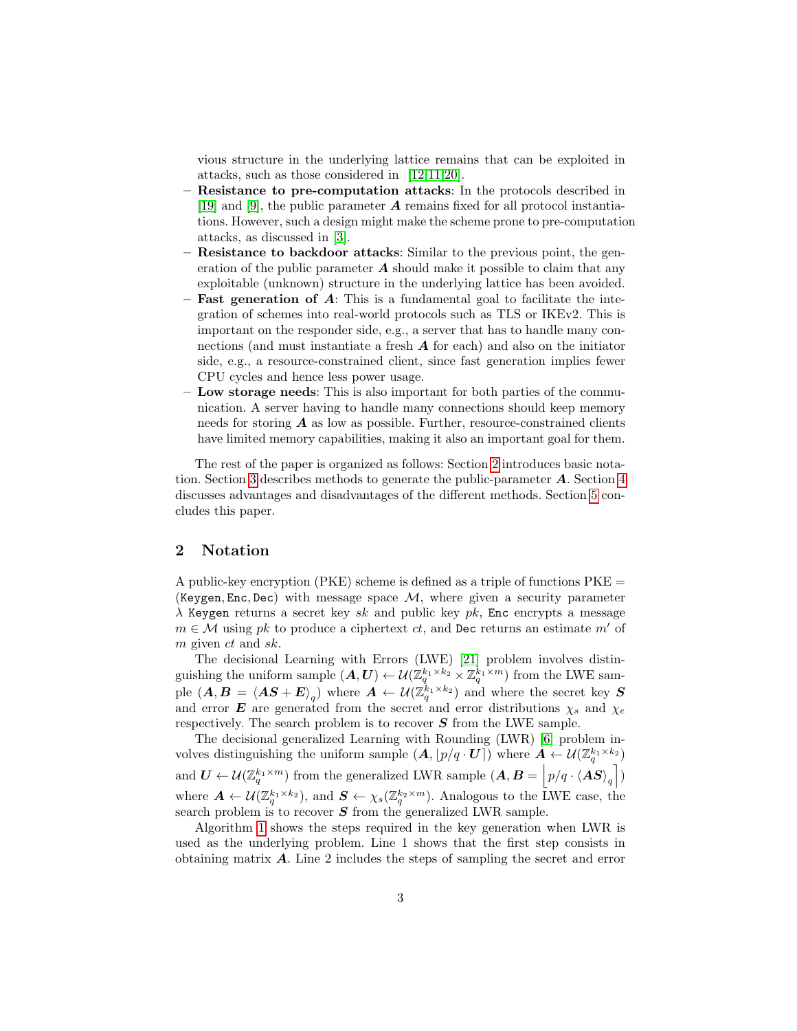vious structure in the underlying lattice remains that can be exploited in attacks, such as those considered in [\[12,](#page-12-9)[11,](#page-12-10)[20\]](#page-13-3).

- Resistance to pre-computation attacks: In the protocols described in [\[19\]](#page-13-4) and [\[9\]](#page-12-12), the public parameter  $\boldsymbol{A}$  remains fixed for all protocol instantiations. However, such a design might make the scheme prone to pre-computation attacks, as discussed in [\[3\]](#page-12-13).
- Resistance to backdoor attacks: Similar to the previous point, the generation of the public parameter  $\boldsymbol{A}$  should make it possible to claim that any exploitable (unknown) structure in the underlying lattice has been avoided.
- **Fast generation of A:** This is a fundamental goal to facilitate the integration of schemes into real-world protocols such as TLS or IKEv2. This is important on the responder side, e.g., a server that has to handle many connections (and must instantiate a fresh  $\boldsymbol{A}$  for each) and also on the initiator side, e.g., a resource-constrained client, since fast generation implies fewer CPU cycles and hence less power usage.
- Low storage needs: This is also important for both parties of the communication. A server having to handle many connections should keep memory needs for storing  $A$  as low as possible. Further, resource-constrained clients have limited memory capabilities, making it also an important goal for them.

The rest of the paper is organized as follows: Section [2](#page-2-0) introduces basic nota-tion. Section [3](#page-3-0) describes methods to generate the public-parameter  $\boldsymbol{A}$ . Section [4](#page-4-0) discusses advantages and disadvantages of the different methods. Section [5](#page-10-0) concludes this paper.

# <span id="page-2-0"></span>2 Notation

A public-key encryption (PKE) scheme is defined as a triple of functions  $PKE =$ (Keygen, Enc, Dec) with message space  $\mathcal{M}$ , where given a security parameter  $\lambda$  Keygen returns a secret key sk and public key pk, Enc encrypts a message  $m \in \mathcal{M}$  using pk to produce a ciphertext ct, and Dec returns an estimate m' of m given ct and sk.

The decisional Learning with Errors (LWE) [\[21\]](#page-13-2) problem involves distinguishing the uniform sample  $(A, U) \leftarrow \mathcal{U}(\mathbb{Z}_q^{k_1 \times k_2} \times \mathbb{Z}_q^{k_1 \times m})$  from the LWE sample  $(A, B = \langle AS + E \rangle_q)$  where  $A \leftarrow \mathcal{U}(\mathbb{Z}_q^{k_1 \times k_2})$  and where the secret key  $S$ and error **E** are generated from the secret and error distributions  $\chi_s$  and  $\chi_e$ respectively. The search problem is to recover  $S$  from the LWE sample.

The decisional generalized Learning with Rounding (LWR) [\[6\]](#page-12-8) problem involves distinguishing the uniform sample  $(A, p/q \cdot \mathbf{U})$  where  $A \leftarrow \mathcal{U}(\mathbb{Z}_q^{k_1 \times k_2})$ and  $\bm{U} \leftarrow \mathcal{U}(\mathbb{Z}_q^{k_1 \times m})$  from the generalized LWR sample  $(\bm{A}, \bm{B} = \left| p/q \cdot \langle \bm{AS} \rangle_q \right|)$ where  $A \leftarrow \mathcal{U}(\mathbb{Z}_q^{k_1 \times k_2})$ , and  $S \leftarrow \chi_s(\mathbb{Z}_q^{k_2 \times m})$ . Analogous to the LWE case, the search problem is to recover  $S$  from the generalized LWR sample.

Algorithm [1](#page-3-1) shows the steps required in the key generation when LWR is used as the underlying problem. Line 1 shows that the first step consists in obtaining matrix A. Line 2 includes the steps of sampling the secret and error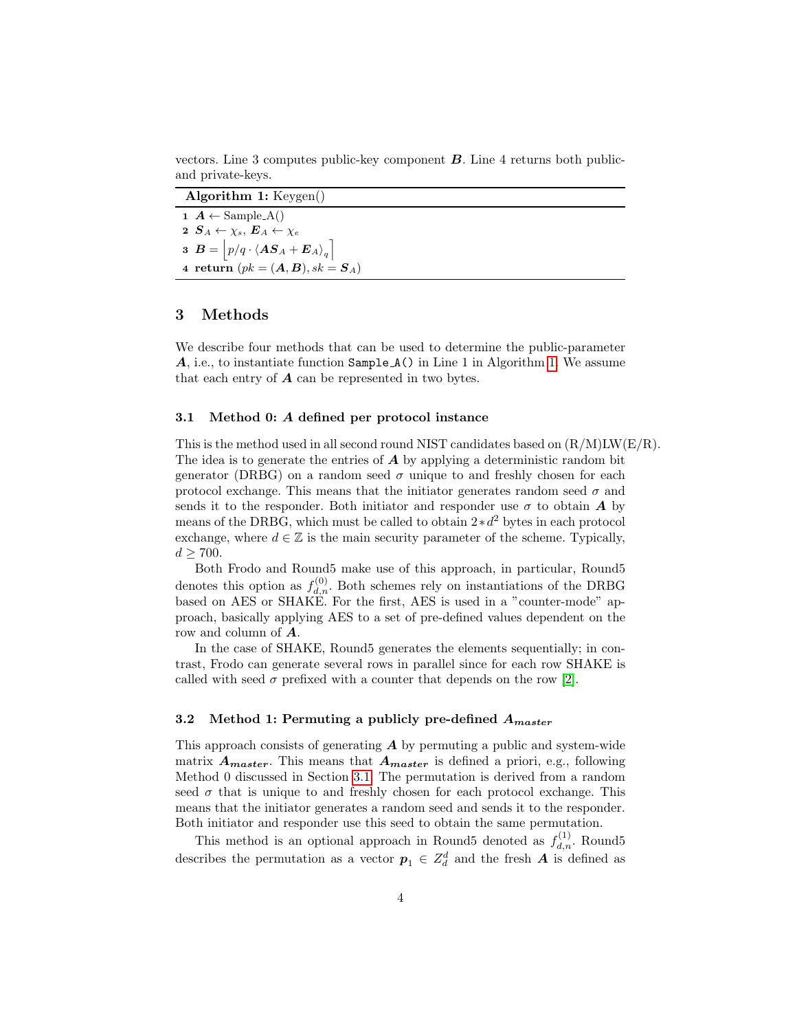vectors. Line 3 computes public-key component  $\boldsymbol{B}$ . Line 4 returns both publicand private-keys.

<span id="page-3-1"></span>

| Algorithm 1: $Keygen()$                                                                                                      |
|------------------------------------------------------------------------------------------------------------------------------|
| $\mathbf{1}$ $\mathbf{A} \leftarrow$ Sample $\mathbf{A}()$                                                                   |
| 2 $S_A \leftarrow \chi_s, E_A \leftarrow \chi_e$                                                                             |
| $\mathbf{3} \ \ \boldsymbol{B} = \Big  p/q \cdot \langle \boldsymbol{A} \boldsymbol{S}_A + \boldsymbol{E}_A \rangle_q \Big]$ |
| 4 return $(pk = (A, B), sk = S_A)$                                                                                           |

# <span id="page-3-0"></span>3 Methods

We describe four methods that can be used to determine the public-parameter A, i.e., to instantiate function Sample A() in Line 1 in Algorithm [1.](#page-3-1) We assume that each entry of  $\boldsymbol{A}$  can be represented in two bytes.

#### <span id="page-3-2"></span>3.1 Method 0: A defined per protocol instance

This is the method used in all second round NIST candidates based on  $(R/M)LW(E/R)$ . The idea is to generate the entries of  $\boldsymbol{A}$  by applying a deterministic random bit generator (DRBG) on a random seed  $\sigma$  unique to and freshly chosen for each protocol exchange. This means that the initiator generates random seed  $\sigma$  and sends it to the responder. Both initiator and responder use  $\sigma$  to obtain A by means of the DRBG, which must be called to obtain  $2 * d^2$  bytes in each protocol exchange, where  $d \in \mathbb{Z}$  is the main security parameter of the scheme. Typically,  $d > 700$ .

Both Frodo and Round5 make use of this approach, in particular, Round5 denotes this option as  $f_{d,n}^{(0)}$ . Both schemes rely on instantiations of the DRBG based on AES or SHAKE. For the first, AES is used in a "counter-mode" approach, basically applying AES to a set of pre-defined values dependent on the row and column of A.

In the case of SHAKE, Round5 generates the elements sequentially; in contrast, Frodo can generate several rows in parallel since for each row SHAKE is called with seed  $\sigma$  prefixed with a counter that depends on the row [\[2\]](#page-12-0).

### 3.2 Method 1: Permuting a publicly pre-defined  $A_{master}$

This approach consists of generating  $\boldsymbol{A}$  by permuting a public and system-wide matrix  $A_{master}$ . This means that  $A_{master}$  is defined a priori, e.g., following Method 0 discussed in Section [3.1.](#page-3-2) The permutation is derived from a random seed  $\sigma$  that is unique to and freshly chosen for each protocol exchange. This means that the initiator generates a random seed and sends it to the responder. Both initiator and responder use this seed to obtain the same permutation.

This method is an optional approach in Round5 denoted as  $f_{d,n}^{(1)}$ . Round5 describes the permutation as a vector  $p_1 \in Z_d^d$  and the fresh  $A$  is defined as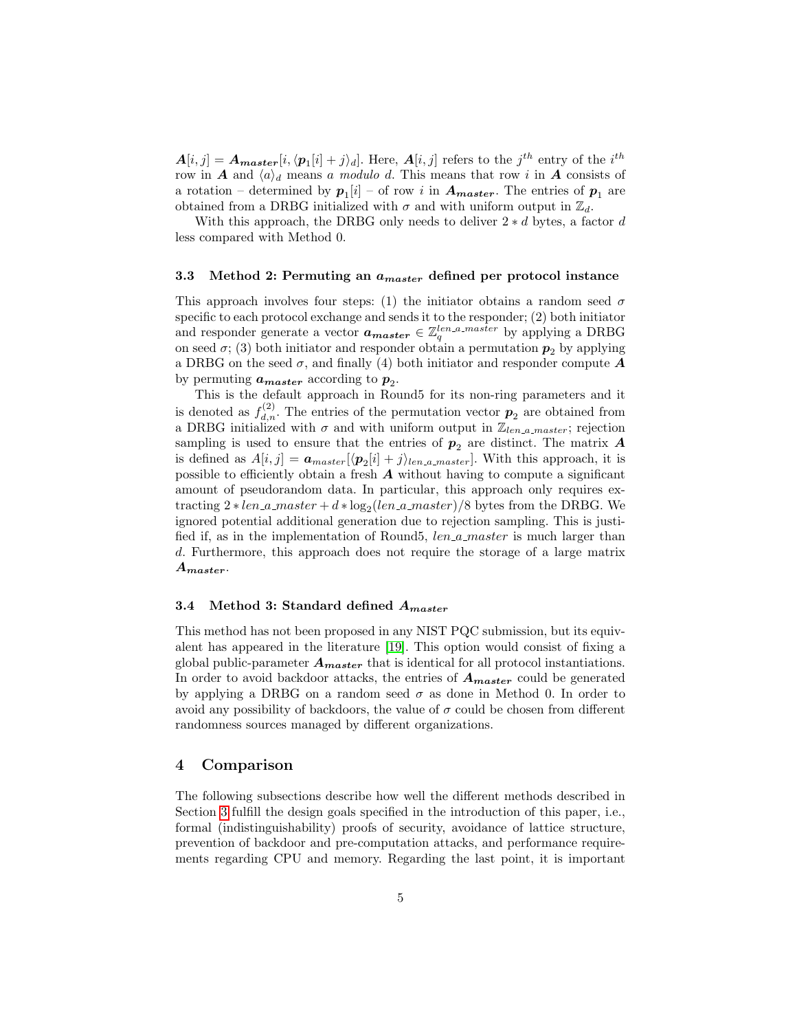$A[i,j] = A_{master}[i, \langle p_1[i] + j \rangle_d]$ . Here,  $A[i,j]$  refers to the  $j^{th}$  entry of the  $i^{th}$ row in A and  $\langle a \rangle_d$  means a modulo d. This means that row i in A consists of a rotation – determined by  $p_1[i]$  – of row i in  $A_{master}$ . The entries of  $p_1$  are obtained from a DRBG initialized with  $\sigma$  and with uniform output in  $\mathbb{Z}_d$ .

With this approach, the DRBG only needs to deliver  $2 * d$  bytes, a factor d less compared with Method 0.

#### 3.3 Method 2: Permuting an  $a_{master}$  defined per protocol instance

This approach involves four steps: (1) the initiator obtains a random seed  $\sigma$ specific to each protocol exchange and sends it to the responder; (2) both initiator and responder generate a vector  $a_{master} \in \mathbb{Z}_q^{len.a.master}$  by applying a DRBG on seed  $\sigma$ ; (3) both initiator and responder obtain a permutation  $p_2$  by applying a DRBG on the seed  $\sigma$ , and finally (4) both initiator and responder compute  $\boldsymbol{A}$ by permuting  $a_{master}$  according to  $p_2$ .

This is the default approach in Round5 for its non-ring parameters and it is denoted as  $f_{d,n}^{(2)}$ . The entries of the permutation vector  $p_2$  are obtained from a DRBG initialized with  $\sigma$  and with uniform output in  $\mathbb{Z}_{len\_a\_master}$ ; rejection sampling is used to ensure that the entries of  $p_2$  are distinct. The matrix  $\boldsymbol{A}$ is defined as  $A[i, j] = \mathbf{a}_{master}[\langle \mathbf{p}_2[i] + j \rangle_{len\_a\_master}]$ . With this approach, it is possible to efficiently obtain a fresh  $A$  without having to compute a significant amount of pseudorandom data. In particular, this approach only requires extracting  $2 * len_a\_master + d * log_2(len_a\_master) / 8$  bytes from the DRBG. We ignored potential additional generation due to rejection sampling. This is justified if, as in the implementation of Round5, len\_a\_master is much larger than d. Furthermore, this approach does not require the storage of a large matrix Amaster.

### 3.4 Method 3: Standard defined  $A_{master}$

This method has not been proposed in any NIST PQC submission, but its equivalent has appeared in the literature [\[19\]](#page-13-4). This option would consist of fixing a global public-parameter  $A_{master}$  that is identical for all protocol instantiations. In order to avoid backdoor attacks, the entries of  $A_{master}$  could be generated by applying a DRBG on a random seed  $\sigma$  as done in Method 0. In order to avoid any possibility of backdoors, the value of  $\sigma$  could be chosen from different randomness sources managed by different organizations.

# <span id="page-4-0"></span>4 Comparison

The following subsections describe how well the different methods described in Section [3](#page-3-0) fulfill the design goals specified in the introduction of this paper, i.e., formal (indistinguishability) proofs of security, avoidance of lattice structure, prevention of backdoor and pre-computation attacks, and performance requirements regarding CPU and memory. Regarding the last point, it is important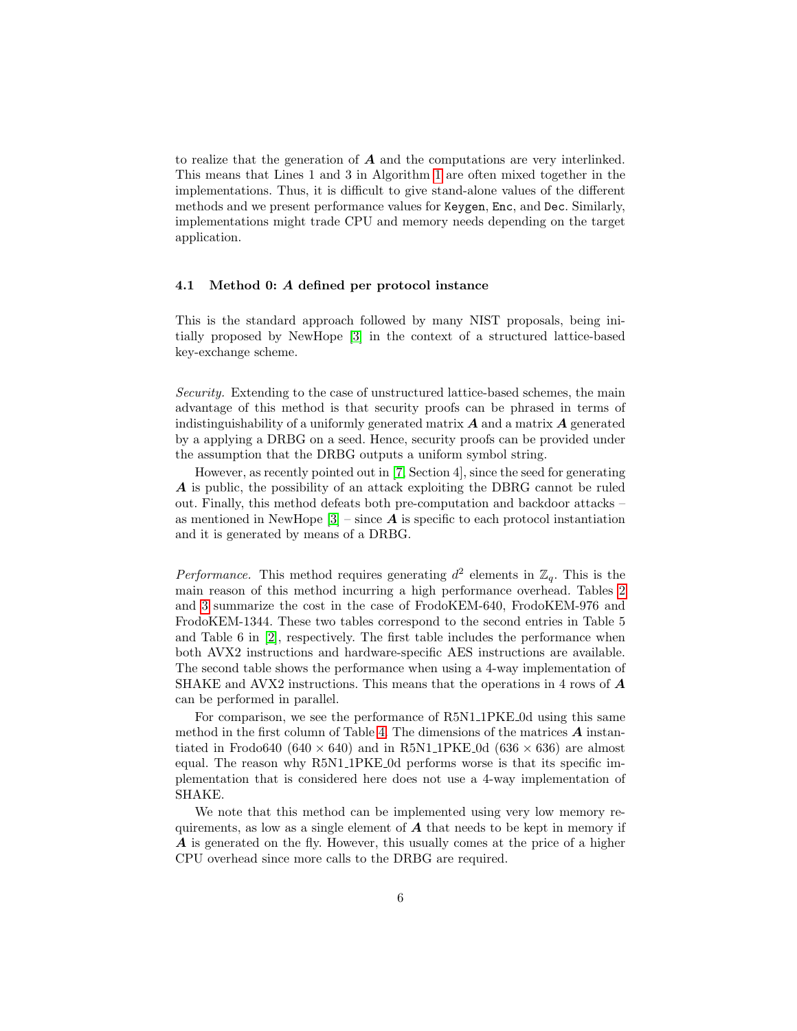to realize that the generation of  $\boldsymbol{A}$  and the computations are very interlinked. This means that Lines 1 and 3 in Algorithm [1](#page-3-1) are often mixed together in the implementations. Thus, it is difficult to give stand-alone values of the different methods and we present performance values for Keygen, Enc, and Dec. Similarly, implementations might trade CPU and memory needs depending on the target application.

#### 4.1 Method 0: A defined per protocol instance

This is the standard approach followed by many NIST proposals, being initially proposed by NewHope [\[3\]](#page-12-13) in the context of a structured lattice-based key-exchange scheme.

Security. Extending to the case of unstructured lattice-based schemes, the main advantage of this method is that security proofs can be phrased in terms of indistinguishability of a uniformly generated matrix  $A$  and a matrix  $A$  generated by a applying a DRBG on a seed. Hence, security proofs can be provided under the assumption that the DRBG outputs a uniform symbol string.

However, as recently pointed out in [\[7,](#page-12-14) Section 4], since the seed for generating A is public, the possibility of an attack exploiting the DBRG cannot be ruled out. Finally, this method defeats both pre-computation and backdoor attacks – as mentioned in NewHope  $[3]$  – since  $\bf{A}$  is specific to each protocol instantiation and it is generated by means of a DRBG.

Performance. This method requires generating  $d^2$  elements in  $\mathbb{Z}_q$ . This is the main reason of this method incurring a high performance overhead. Tables [2](#page-6-0) and [3](#page-7-0) summarize the cost in the case of FrodoKEM-640, FrodoKEM-976 and FrodoKEM-1344. These two tables correspond to the second entries in Table 5 and Table 6 in [\[2\]](#page-12-0), respectively. The first table includes the performance when both AVX2 instructions and hardware-specific AES instructions are available. The second table shows the performance when using a 4-way implementation of SHAKE and AVX2 instructions. This means that the operations in 4 rows of  $\boldsymbol{A}$ can be performed in parallel.

For comparison, we see the performance of R5N1 1PKE 0d using this same method in the first column of Table [4.](#page-8-0) The dimensions of the matrices  $\boldsymbol{A}$  instantiated in Frodo640 (640  $\times$  640) and in R5N1\_1PKE\_0d (636  $\times$  636) are almost equal. The reason why R5N1 1PKE 0d performs worse is that its specific implementation that is considered here does not use a 4-way implementation of SHAKE.

We note that this method can be implemented using very low memory requirements, as low as a single element of  $\boldsymbol{A}$  that needs to be kept in memory if A is generated on the fly. However, this usually comes at the price of a higher CPU overhead since more calls to the DRBG are required.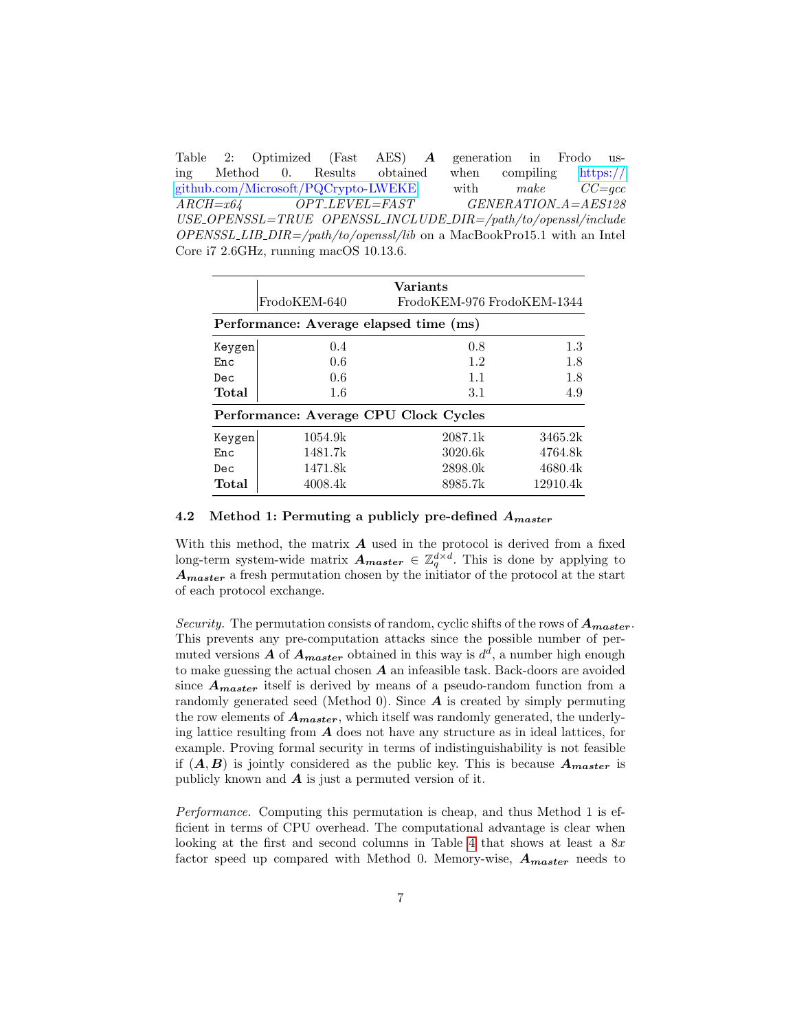<span id="page-6-0"></span>Table 2: Optimized (Fast AES) A generation in Frodo using Method 0. Results obtained when compiling [https://](https://github.com/Microsoft/PQCrypto-LWEKE) [github.com/Microsoft/PQCrypto-LWEKE](https://github.com/Microsoft/PQCrypto-LWEKE) with make CC=gcc  $ARCH = x64$   $OPT \_{}$   $D$   $PT$   $H$   $S$   $T$   $S$   $G$   $ENERATION A = AES128$ USE OPENSSL=TRUE OPENSSL INCLUDE DIR=/path/to/openssl/include  $OPENSSL_LIB_DIR = /path/to/openssl/lib$  on a MacBookPro15.1 with an Intel Core i7 2.6GHz, running macOS 10.13.6.

|        |                                        | Variants                   |          |  |  |  |  |
|--------|----------------------------------------|----------------------------|----------|--|--|--|--|
|        | FrodoKEM-640                           | FrodoKEM-976 FrodoKEM-1344 |          |  |  |  |  |
|        | Performance: Average elapsed time (ms) |                            |          |  |  |  |  |
| Keygen | 0.4                                    | 0.8                        | 1.3      |  |  |  |  |
| Enc    | 0.6                                    | 1.2                        | 1.8      |  |  |  |  |
| Dec.   | 0.6                                    | 1.1                        | 1.8      |  |  |  |  |
| Total  | 1.6                                    | 3.1                        | 4.9      |  |  |  |  |
|        | Performance: Average CPU Clock Cycles  |                            |          |  |  |  |  |
| Keygen | 1054.9k                                | 2087.1k                    | 3465.2k  |  |  |  |  |
| Enc    | 1481.7k                                | 3020.6k                    | 4764.8k  |  |  |  |  |
| Dec    | 1471.8k                                | 2898.0k                    | 4680.4k  |  |  |  |  |
| Total  | 4008.4k                                | 8985.7k                    | 12910.4k |  |  |  |  |

## 4.2 Method 1: Permuting a publicly pre-defined  $A_{master}$

With this method, the matrix  $A$  used in the protocol is derived from a fixed long-term system-wide matrix  $A_{master} \in \mathbb{Z}_q^{d \times d}$ . This is done by applying to  $A<sub>master</sub>$  a fresh permutation chosen by the initiator of the protocol at the start of each protocol exchange.

Security. The permutation consists of random, cyclic shifts of the rows of  $A<sub>master</sub>$ . This prevents any pre-computation attacks since the possible number of permuted versions  $A$  of  $A_{master}$  obtained in this way is  $d^d$ , a number high enough to make guessing the actual chosen  $A$  an infeasible task. Back-doors are avoided since  $A<sub>master</sub>$  itself is derived by means of a pseudo-random function from a randomly generated seed (Method 0). Since  $\boldsymbol{A}$  is created by simply permuting the row elements of  $A_{master}$ , which itself was randomly generated, the underlying lattice resulting from  $\boldsymbol{A}$  does not have any structure as in ideal lattices, for example. Proving formal security in terms of indistinguishability is not feasible if  $(A, B)$  is jointly considered as the public key. This is because  $A_{master}$  is publicly known and  $\boldsymbol{A}$  is just a permuted version of it.

Performance. Computing this permutation is cheap, and thus Method 1 is efficient in terms of CPU overhead. The computational advantage is clear when looking at the first and second columns in Table [4](#page-8-0) that shows at least a  $8x$ factor speed up compared with Method 0. Memory-wise,  $A_{master}$  needs to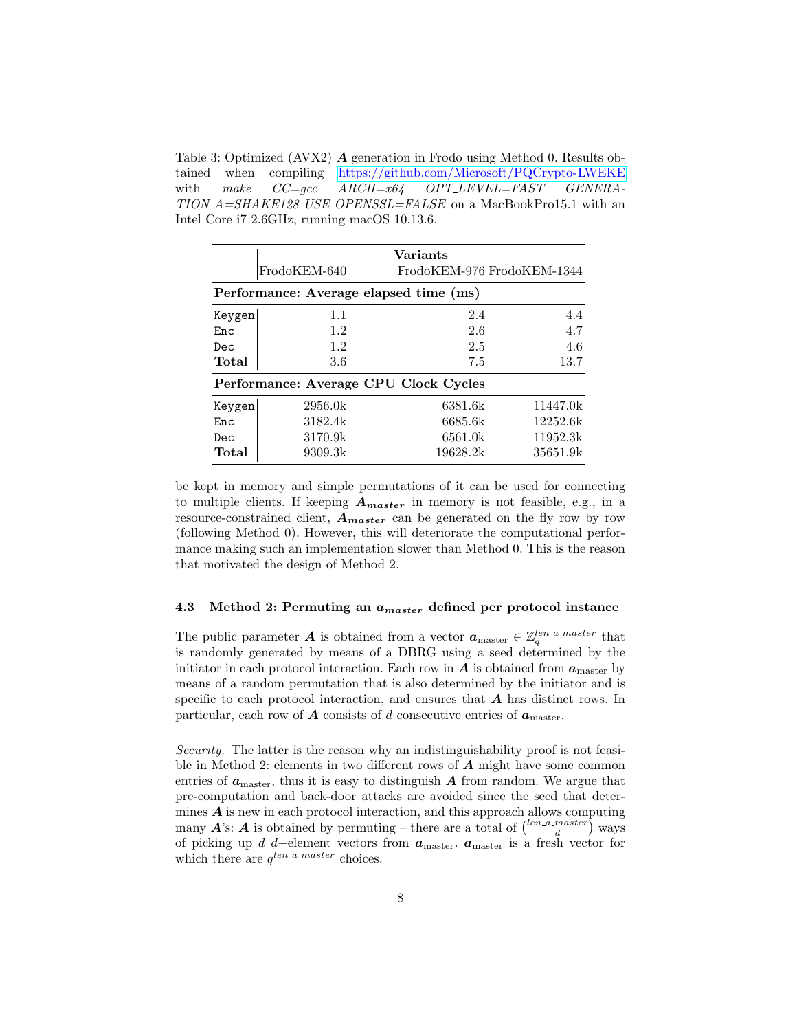<span id="page-7-0"></span>Table 3: Optimized (AVX2) A generation in Frodo using Method 0. Results obtained when compiling <https://github.com/Microsoft/PQCrypto-LWEKE> with make  $CC = acc$   $ARCH = x64$   $OPT \_L EVEL = FAST$   $GENERA -$ TION\_A=SHAKE128 USE\_OPENSSL=FALSE on a MacBookPro15.1 with an Intel Core i7 2.6GHz, running macOS 10.13.6.

|        |                                        | Variants                   |          |  |  |  |  |  |
|--------|----------------------------------------|----------------------------|----------|--|--|--|--|--|
|        | FrodoKEM-640                           | FrodoKEM-976 FrodoKEM-1344 |          |  |  |  |  |  |
|        | Performance: Average elapsed time (ms) |                            |          |  |  |  |  |  |
| Keygen | 1.1                                    | 2.4                        | 4.4      |  |  |  |  |  |
| Enc    | 1.2                                    | 2.6                        | 4.7      |  |  |  |  |  |
| Dec    | 1.2                                    | 2.5                        | 4.6      |  |  |  |  |  |
| Total  | 3.6                                    | 7.5                        | 13.7     |  |  |  |  |  |
|        | Performance: Average CPU Clock Cycles  |                            |          |  |  |  |  |  |
| Keygen | 2956.0k                                | 6381.6k                    | 11447.0k |  |  |  |  |  |
| En c   | 3182.4k                                | 6685.6k                    | 12252.6k |  |  |  |  |  |
| Dec    | 3170.9k                                | 6561.0k                    | 11952.3k |  |  |  |  |  |
| Total  | 9309.3k                                | 19628.2k                   | 35651.9k |  |  |  |  |  |

be kept in memory and simple permutations of it can be used for connecting to multiple clients. If keeping  $A_{master}$  in memory is not feasible, e.g., in a resource-constrained client,  $A_{master}$  can be generated on the fly row by row (following Method 0). However, this will deteriorate the computational performance making such an implementation slower than Method 0. This is the reason that motivated the design of Method 2.

### 4.3 Method 2: Permuting an  $a_{master}$  defined per protocol instance

The public parameter **A** is obtained from a vector  $a_{\text{master}} \in \mathbb{Z}_q^{len.a.master}$  that is randomly generated by means of a DBRG using a seed determined by the initiator in each protocol interaction. Each row in  $A$  is obtained from  $a<sub>master</sub>$  by means of a random permutation that is also determined by the initiator and is specific to each protocol interaction, and ensures that  $A$  has distinct rows. In particular, each row of  $\boldsymbol{A}$  consists of d consecutive entries of  $\boldsymbol{a}_{\text{master}}$ .

Security. The latter is the reason why an indistinguishability proof is not feasible in Method 2: elements in two different rows of  $A$  might have some common entries of  $a<sub>master</sub>$ , thus it is easy to distinguish A from random. We argue that pre-computation and back-door attacks are avoided since the seed that determines  $A$  is new in each protocol interaction, and this approach allows computing many  $A$ 's:  $A$  is obtained by permuting – there are a total of  $\binom{len.a\_master}{d}$  ways of picking up d d–element vectors from  $a_{\text{master}}$ .  $a_{\text{master}}$  is a fresh vector for which there are  $q^{len\_a\_master}$  choices.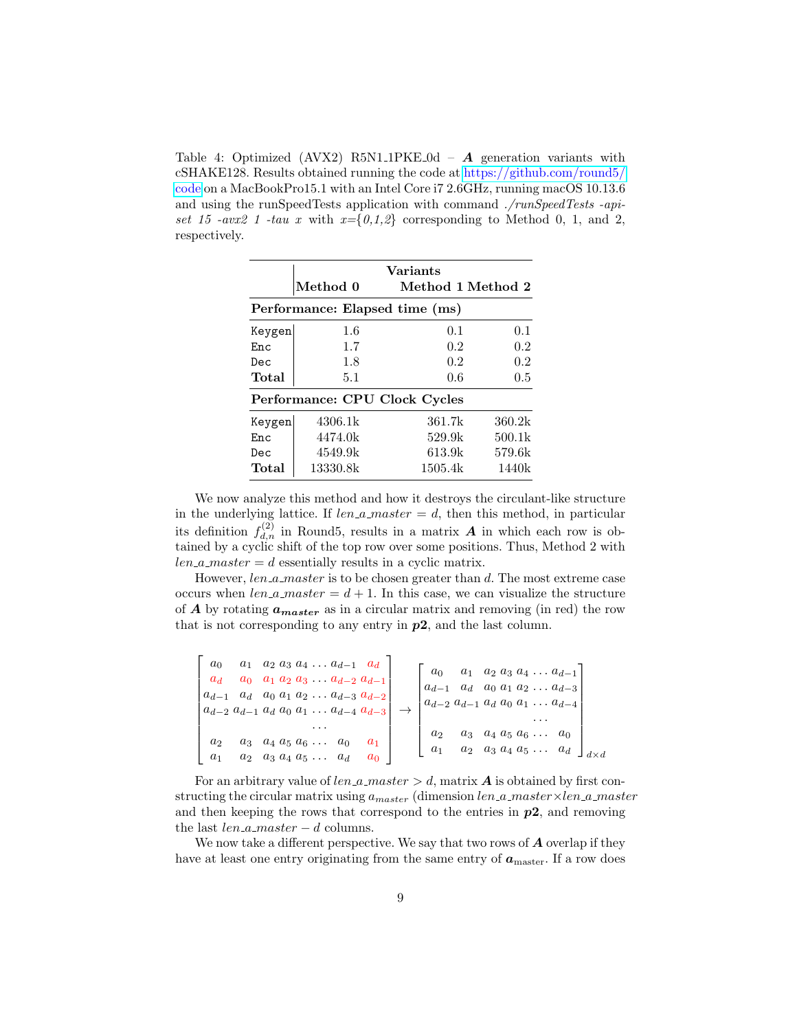<span id="page-8-0"></span>Table 4: Optimized (AVX2) R5N1\_1PKE\_0d –  $\boldsymbol{A}$  generation variants with cSHAKE128. Results obtained running the code at [https://github.com/round5/](https://github.com/round5/code) [code](https://github.com/round5/code) on a MacBookPro15.1 with an Intel Core i7 2.6GHz, running macOS 10.13.6 and using the runSpeedTests application with command ./runSpeedTests -apiset 15 -avx2 1 -tau x with  $x=\{0,1,2\}$  corresponding to Method 0, 1, and 2, respectively.

|        | $\bm{\mathrm{Method}}\;0$      | <b>Variants</b><br>Method 1 Method 2 |        |  |  |  |  |
|--------|--------------------------------|--------------------------------------|--------|--|--|--|--|
|        | Performance: Elapsed time (ms) |                                      |        |  |  |  |  |
| Keygen | 1.6                            | 0.1                                  | 0.1    |  |  |  |  |
| Enc    | 1.7                            | 0.2                                  | 0.2    |  |  |  |  |
| Dec    | 1.8                            | 0.2                                  | 0.2    |  |  |  |  |
| Total  | 5.1                            | 0.6                                  | 0.5    |  |  |  |  |
|        | Performance: CPU Clock Cycles  |                                      |        |  |  |  |  |
| Keygen | 4306.1k                        | 361.7k                               | 360.2k |  |  |  |  |
| Enc    | 4474.0k                        | 529.9k                               | 500.1k |  |  |  |  |
| Dec    | 4549.9k                        | 613.9k                               | 579.6k |  |  |  |  |
| Total  | 13330.8k                       | 1505.4k                              | 1440k  |  |  |  |  |

We now analyze this method and how it destroys the circulant-like structure in the underlying lattice. If  $len\_a\_master = d$ , then this method, in particular its definition  $f_{d,n}^{(2)}$  in Round5, results in a matrix  $\boldsymbol{A}$  in which each row is obtained by a cyclic shift of the top row over some positions. Thus, Method 2 with  $len_a_master = d$  essentially results in a cyclic matrix.

However,  $len\_a\_master$  is to be chosen greater than d. The most extreme case occurs when *len\_a\_master* =  $d + 1$ . In this case, we can visualize the structure of **A** by rotating  $a_{master}$  as in a circular matrix and removing (in red) the row that is not corresponding to any entry in  $p2$ , and the last column.

| $a_0$<br>$a_d$ |       | $a_1 \ a_2 \ a_3 \ a_4 \ \ldots \ a_{d-1} \ a_d$<br>$a_0$ $a_1$ $a_2$ $a_3$ $\dots$ $a_{d-2}$ $a_{d-1}$<br>$a_{d-1}$ a <sub>d</sub> a <sub>0</sub> a <sub>1</sub> a <sub>2</sub> a <sub>d-3</sub> a <sub>d-2</sub><br>$a_{d-2}$ $a_{d-1}$ $a_d$ $a_0$ $a_1$ $\dots$ $a_{d-4}$ $a_{d-3}$ | $a_2 a_3 a_4 \ldots a_{d-1}$<br>$a_0$<br>a <sub>1</sub><br>$a_d$ $a_0$ $a_1$ $a_2$ $\dots$ $a_{d-3}$<br>$a_{d-1}$<br>$a_{d-2}$ $a_{d-1}$ $a_d$ $a_0$ $a_1$ $\ldots$ $a_{d-4}$ |
|----------------|-------|-----------------------------------------------------------------------------------------------------------------------------------------------------------------------------------------------------------------------------------------------------------------------------------------|-------------------------------------------------------------------------------------------------------------------------------------------------------------------------------|
| $a_2$          | $a_3$ | $a_4$ $a_5$ $a_6$ $\dots$<br>$a_2$ $a_3$ $a_4$ $a_5$ $\dots$ $a_d$                                                                                                                                                                                                                      | $a_4$ $a_5$ $a_6$ $\dots$<br>$a_3$<br>$a_2 \quad a_3 \quad a_4 \quad a_5 \quad \ldots \quad a_d$<br>$a_1$                                                                     |

For an arbitrary value of  $len\_a\_master > d$ , matrix **A** is obtained by first constructing the circular matrix using  $a_{master}$  (dimension  $len.a_matrix$  master  $\times len.a_matrix$ and then keeping the rows that correspond to the entries in  $p2$ , and removing the last  $len_a_master - d$  columns.

We now take a different perspective. We say that two rows of  $A$  overlap if they have at least one entry originating from the same entry of  $a<sub>master</sub>$ . If a row does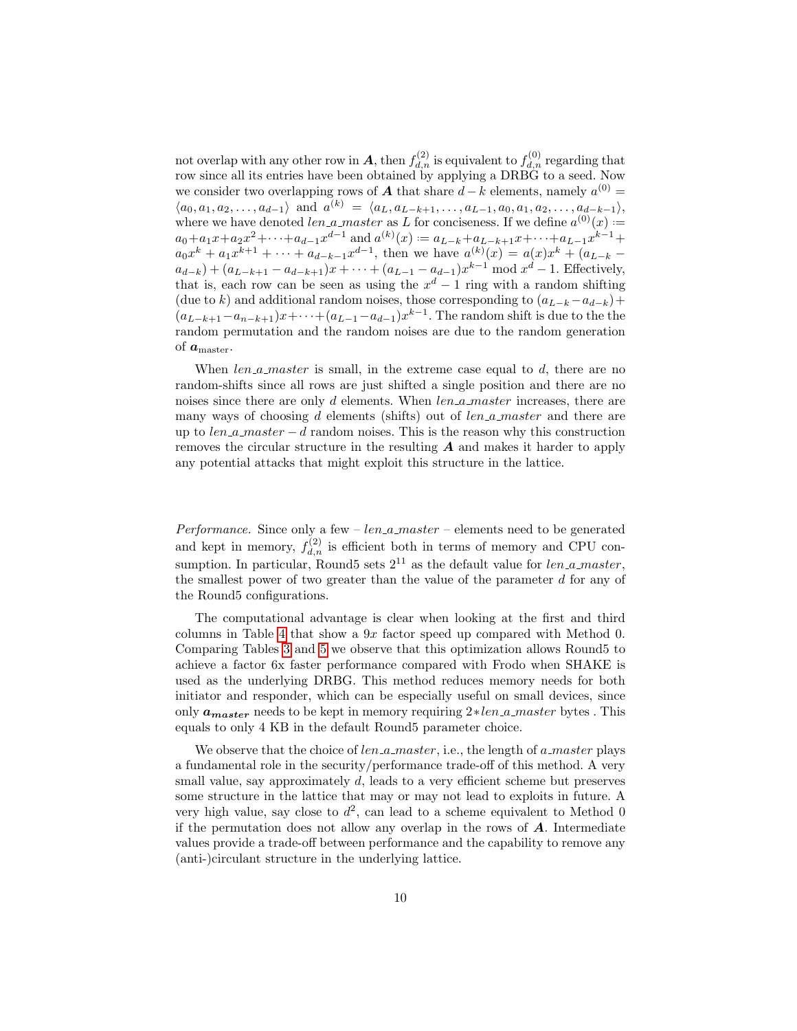not overlap with any other row in  $A$ , then  $f_{d,n}^{(2)}$  is equivalent to  $f_{d,n}^{(0)}$  regarding that row since all its entries have been obtained by applying a DRBG to a seed. Now we consider two overlapping rows of **A** that share  $d - k$  elements, namely  $a^{(0)} =$  $\langle a_0, a_1, a_2, \ldots, a_{d-1} \rangle$  and  $a^{(k)} = \langle a_L, a_{L-k+1}, \ldots, a_{L-1}, a_0, a_1, a_2, \ldots, a_{d-k-1} \rangle$ , where we have denoted *len\_a\_master* as L for conciseness. If we define  $a^{(0)}(x) =$  $a_0 + a_1x + a_2x^2 + \cdots + a_{d-1}x^{d-1}$  and  $a^{(k)}(x) := a_{L-k} + a_{L-k+1}x + \cdots + a_{L-1}x^{k-1} +$  $a_0x^k + a_1x^{k+1} + \cdots + a_{d-k-1}x^{d-1}$ , then we have  $a^{(k)}(x) = a(x)x^k + (a_{L-k} - a)$  $a_{d-k}$ ) +  $(a_{L-k+1} - a_{d-k+1})x + \cdots + (a_{L-1} - a_{d-1})x^{k-1}$  mod  $x^d - 1$ . Effectively, that is, each row can be seen as using the  $x^d - 1$  ring with a random shifting (due to k) and additional random noises, those corresponding to  $(a_{L-k}-a_{d-k})+$  $(a_{L-k+1}-a_{n-k+1})x+\cdots+(a_{L-1}-a_{d-1})x^{k-1}$ . The random shift is due to the the random permutation and the random noises are due to the random generation of  $a_{\text{master}}$ .

When len  $a$  master is small, in the extreme case equal to d, there are no random-shifts since all rows are just shifted a single position and there are no noises since there are only  $d$  elements. When  $len_a_matrix$  increases, there are many ways of choosing d elements (shifts) out of  $len_a_master$  and there are up to  $len\_a\_master - d$  random noises. This is the reason why this construction removes the circular structure in the resulting  $\boldsymbol{A}$  and makes it harder to apply any potential attacks that might exploit this structure in the lattice.

Performance. Since only a few  $- len_a\_master - elements$  need to be generated and kept in memory,  $f_{d,n}^{(2)}$  is efficient both in terms of memory and CPU consumption. In particular, Round5 sets  $2^{11}$  as the default value for *len\_a\_master*, the smallest power of two greater than the value of the parameter d for any of the Round5 configurations.

The computational advantage is clear when looking at the first and third columns in Table [4](#page-8-0) that show a 9x factor speed up compared with Method 0. Comparing Tables [3](#page-7-0) and [5](#page-10-1) we observe that this optimization allows Round5 to achieve a factor 6x faster performance compared with Frodo when SHAKE is used as the underlying DRBG. This method reduces memory needs for both initiator and responder, which can be especially useful on small devices, since only  $a<sub>master</sub>$  needs to be kept in memory requiring  $2*len_a master$  bytes. This equals to only 4 KB in the default Round5 parameter choice.

We observe that the choice of  $len\_a\_master$ , i.e., the length of  $a\_master$  plays a fundamental role in the security/performance trade-off of this method. A very small value, say approximately d, leads to a very efficient scheme but preserves some structure in the lattice that may or may not lead to exploits in future. A very high value, say close to  $d^2$ , can lead to a scheme equivalent to Method 0 if the permutation does not allow any overlap in the rows of  $\boldsymbol{A}$ . Intermediate values provide a trade-off between performance and the capability to remove any (anti-)circulant structure in the underlying lattice.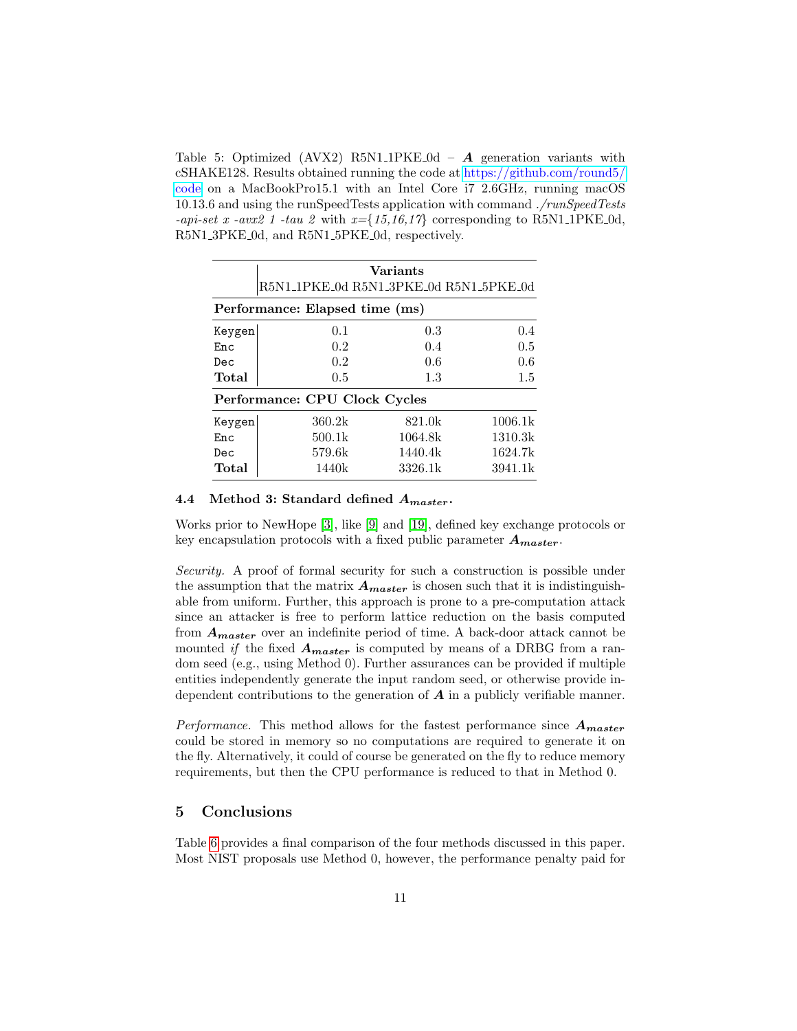<span id="page-10-1"></span>Table 5: Optimized (AVX2) R5N1\_1PKE\_0d –  $\boldsymbol{A}$  generation variants with cSHAKE128. Results obtained running the code at [https://github.com/round5/](https://github.com/round5/code) [code](https://github.com/round5/code) on a MacBookPro15.1 with an Intel Core i7 2.6GHz, running macOS 10.13.6 and using the runSpeedTests application with command ./runSpeedTests -api-set x -avx2 1 -tau 2 with  $x=\{15,16,17\}$  corresponding to R5N1\_1PKE\_0d, R5N1 3PKE 0d, and R5N1 5PKE 0d, respectively.

|                                | <b>Variants</b><br>R5N1_1PKE_0d R5N1_3PKE_0d R5N1_5PKE_0d |         |         |  |  |  |  |  |
|--------------------------------|-----------------------------------------------------------|---------|---------|--|--|--|--|--|
| Performance: Elapsed time (ms) |                                                           |         |         |  |  |  |  |  |
| Keygen                         | 0.1                                                       | 0.3     | 0.4     |  |  |  |  |  |
| En c                           | 0.2                                                       | 0.4     | 0.5     |  |  |  |  |  |
| Dec.                           | 0.2                                                       | 0.6     | 0.6     |  |  |  |  |  |
| Total                          | 0.5                                                       | 1.3     | 1.5     |  |  |  |  |  |
|                                | Performance: CPU Clock Cycles                             |         |         |  |  |  |  |  |
| Keygen                         | 360.2k                                                    | 821.0k  | 1006.1k |  |  |  |  |  |
| En c                           | 500.1k                                                    | 1064.8k | 1310.3k |  |  |  |  |  |
| Dec                            | 579.6k                                                    | 1440.4k | 1624.7k |  |  |  |  |  |
| Total                          | 1440k                                                     | 3326.1k | 3941.1k |  |  |  |  |  |

### 4.4 Method 3: Standard defined  $A_{master}$ .

Works prior to NewHope [\[3\]](#page-12-13), like [\[9\]](#page-12-12) and [\[19\]](#page-13-4), defined key exchange protocols or key encapsulation protocols with a fixed public parameter  $A_{master}$ .

Security. A proof of formal security for such a construction is possible under the assumption that the matrix  $A_{master}$  is chosen such that it is indistinguishable from uniform. Further, this approach is prone to a pre-computation attack since an attacker is free to perform lattice reduction on the basis computed from  $A<sub>master</sub>$  over an indefinite period of time. A back-door attack cannot be mounted if the fixed  $A_{master}$  is computed by means of a DRBG from a random seed (e.g., using Method 0). Further assurances can be provided if multiple entities independently generate the input random seed, or otherwise provide independent contributions to the generation of  $A$  in a publicly verifiable manner.

*Performance*. This method allows for the fastest performance since  $A<sub>master</sub>$ could be stored in memory so no computations are required to generate it on the fly. Alternatively, it could of course be generated on the fly to reduce memory requirements, but then the CPU performance is reduced to that in Method 0.

# <span id="page-10-0"></span>5 Conclusions

Table [6](#page-11-1) provides a final comparison of the four methods discussed in this paper. Most NIST proposals use Method 0, however, the performance penalty paid for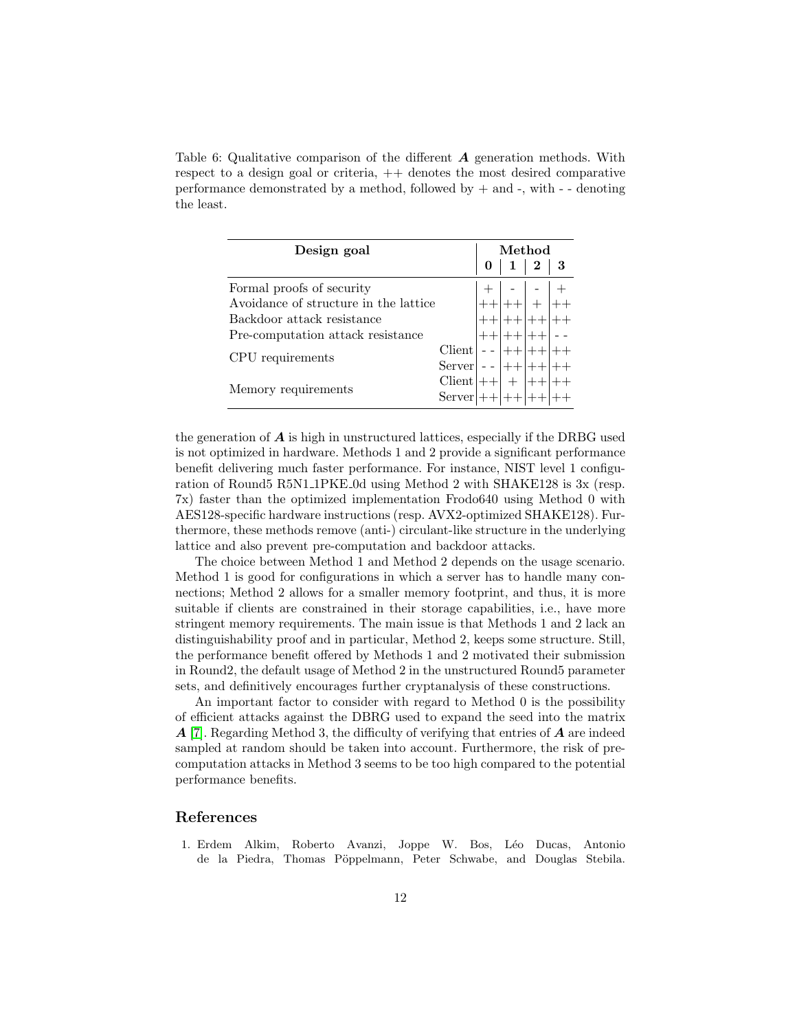<span id="page-11-1"></span>Table 6: Qualitative comparison of the different  $\boldsymbol{A}$  generation methods. With respect to a design goal or criteria,  $++$  denotes the most desired comparative performance demonstrated by a method, followed by  $+$  and  $-$ , with  $-$  -denoting the least.

| Design goal                           | Method |  |              |                |   |
|---------------------------------------|--------|--|--------------|----------------|---|
|                                       |        |  | $\mathbf{1}$ | $\overline{2}$ | 3 |
| Formal proofs of security             |        |  |              |                |   |
| Avoidance of structure in the lattice |        |  |              |                |   |
| Backdoor attack resistance            |        |  |              |                |   |
| Pre-computation attack resistance     |        |  |              |                |   |
| Client                                |        |  |              |                |   |
| CPU requirements                      | Server |  |              |                |   |
|                                       | Client |  |              |                |   |
| Memory requirements                   | Server |  |              |                |   |

the generation of  $\boldsymbol{A}$  is high in unstructured lattices, especially if the DRBG used is not optimized in hardware. Methods 1 and 2 provide a significant performance benefit delivering much faster performance. For instance, NIST level 1 configuration of Round5 R5N1 1PKE 0d using Method 2 with SHAKE128 is 3x (resp. 7x) faster than the optimized implementation Frodo640 using Method 0 with AES128-specific hardware instructions (resp. AVX2-optimized SHAKE128). Furthermore, these methods remove (anti-) circulant-like structure in the underlying lattice and also prevent pre-computation and backdoor attacks.

The choice between Method 1 and Method 2 depends on the usage scenario. Method 1 is good for configurations in which a server has to handle many connections; Method 2 allows for a smaller memory footprint, and thus, it is more suitable if clients are constrained in their storage capabilities, i.e., have more stringent memory requirements. The main issue is that Methods 1 and 2 lack an distinguishability proof and in particular, Method 2, keeps some structure. Still, the performance benefit offered by Methods 1 and 2 motivated their submission in Round2, the default usage of Method 2 in the unstructured Round5 parameter sets, and definitively encourages further cryptanalysis of these constructions.

An important factor to consider with regard to Method 0 is the possibility of efficient attacks against the DBRG used to expand the seed into the matrix  $\bf{A}$  [\[7\]](#page-12-14). Regarding Method 3, the difficulty of verifying that entries of  $\bf{A}$  are indeed sampled at random should be taken into account. Furthermore, the risk of precomputation attacks in Method 3 seems to be too high compared to the potential performance benefits.

# References

<span id="page-11-0"></span>1. Erdem Alkim, Roberto Avanzi, Joppe W. Bos, L´eo Ducas, Antonio de la Piedra, Thomas Pöppelmann, Peter Schwabe, and Douglas Stebila.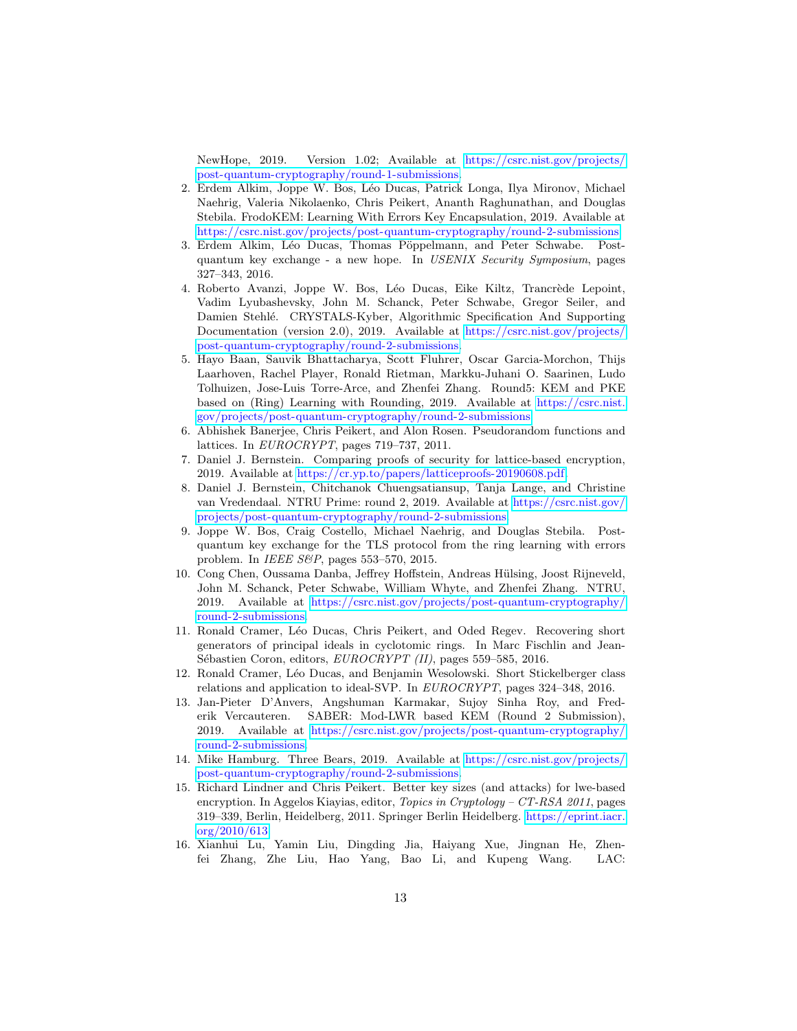NewHope, 2019. Version 1.02; Available at [https://csrc.nist.gov/projects/](https://csrc.nist.gov/projects/post-quantum-cryptography/round-1-submissions) [post-quantum-cryptography/round-1-submissions.](https://csrc.nist.gov/projects/post-quantum-cryptography/round-1-submissions)

- <span id="page-12-0"></span>2. Erdem Alkim, Joppe W. Bos, Léo Ducas, Patrick Longa, Ilya Mironov, Michael Naehrig, Valeria Nikolaenko, Chris Peikert, Ananth Raghunathan, and Douglas Stebila. FrodoKEM: Learning With Errors Key Encapsulation, 2019. Available at [https://csrc.nist.gov/projects/post-quantum-cryptography/round-2-submissions.](https://csrc.nist.gov/projects/post-quantum-cryptography/round-2-submissions)
- <span id="page-12-13"></span>3. Erdem Alkim, Léo Ducas, Thomas Pöppelmann, and Peter Schwabe. Postquantum key exchange - a new hope. In USENIX Security Symposium, pages 327–343, 2016.
- <span id="page-12-1"></span>4. Roberto Avanzi, Joppe W. Bos, Léo Ducas, Eike Kiltz, Trancrède Lepoint, Vadim Lyubashevsky, John M. Schanck, Peter Schwabe, Gregor Seiler, and Damien Stehl´e. CRYSTALS-Kyber, Algorithmic Specification And Supporting Documentation (version 2.0), 2019. Available at [https://csrc.nist.gov/projects/](https://csrc.nist.gov/projects/post-quantum-cryptography/round-2-submissions) [post-quantum-cryptography/round-2-submissions.](https://csrc.nist.gov/projects/post-quantum-cryptography/round-2-submissions)
- <span id="page-12-5"></span>5. Hayo Baan, Sauvik Bhattacharya, Scott Fluhrer, Oscar Garcia-Morchon, Thijs Laarhoven, Rachel Player, Ronald Rietman, Markku-Juhani O. Saarinen, Ludo Tolhuizen, Jose-Luis Torre-Arce, and Zhenfei Zhang. Round5: KEM and PKE based on (Ring) Learning with Rounding, 2019. Available at [https://csrc.nist.](https://csrc.nist.gov/projects/post-quantum-cryptography/round-2-submissions) [gov/projects/post-quantum-cryptography/round-2-submissions.](https://csrc.nist.gov/projects/post-quantum-cryptography/round-2-submissions)
- <span id="page-12-8"></span>6. Abhishek Banerjee, Chris Peikert, and Alon Rosen. Pseudorandom functions and lattices. In EUROCRYPT, pages 719–737, 2011.
- <span id="page-12-14"></span>7. Daniel J. Bernstein. Comparing proofs of security for lattice-based encryption, 2019. Available at [https://cr.yp.to/papers/latticeproofs-20190608.pdf.](https://cr.yp.to/papers/latticeproofs-20190608.pdf)
- <span id="page-12-4"></span>8. Daniel J. Bernstein, Chitchanok Chuengsatiansup, Tanja Lange, and Christine van Vredendaal. NTRU Prime: round 2, 2019. Available at [https://csrc.nist.gov/](https://csrc.nist.gov/projects/post-quantum-cryptography/round-2-submissions) [projects/post-quantum-cryptography/round-2-submissions.](https://csrc.nist.gov/projects/post-quantum-cryptography/round-2-submissions)
- <span id="page-12-12"></span>9. Joppe W. Bos, Craig Costello, Michael Naehrig, and Douglas Stebila. Postquantum key exchange for the TLS protocol from the ring learning with errors problem. In IEEE S&P, pages 553–570, 2015.
- <span id="page-12-3"></span>10. Cong Chen, Oussama Danba, Jeffrey Hoffstein, Andreas Hülsing, Joost Rijneveld, John M. Schanck, Peter Schwabe, William Whyte, and Zhenfei Zhang. NTRU, 2019. Available at [https://csrc.nist.gov/projects/post-quantum-cryptography/](https://csrc.nist.gov/projects/post-quantum-cryptography/round-2-submissions) [round-2-submissions.](https://csrc.nist.gov/projects/post-quantum-cryptography/round-2-submissions)
- <span id="page-12-10"></span>11. Ronald Cramer, L´eo Ducas, Chris Peikert, and Oded Regev. Recovering short generators of principal ideals in cyclotomic rings. In Marc Fischlin and Jean-Sébastien Coron, editors, EUROCRYPT (II), pages 559–585, 2016.
- <span id="page-12-9"></span>12. Ronald Cramer, L´eo Ducas, and Benjamin Wesolowski. Short Stickelberger class relations and application to ideal-SVP. In EUROCRYPT, pages 324–348, 2016.
- <span id="page-12-6"></span>13. Jan-Pieter D'Anvers, Angshuman Karmakar, Sujoy Sinha Roy, and Frederik Vercauteren. SABER: Mod-LWR based KEM (Round 2 Submission), 2019. Available at [https://csrc.nist.gov/projects/post-quantum-cryptography/](https://csrc.nist.gov/projects/post-quantum-cryptography/round-2-submissions) [round-2-submissions.](https://csrc.nist.gov/projects/post-quantum-cryptography/round-2-submissions)
- <span id="page-12-7"></span>14. Mike Hamburg. Three Bears, 2019. Available at [https://csrc.nist.gov/projects/](https://csrc.nist.gov/projects/post-quantum-cryptography/round-2-submissions) [post-quantum-cryptography/round-2-submissions.](https://csrc.nist.gov/projects/post-quantum-cryptography/round-2-submissions)
- <span id="page-12-11"></span>15. Richard Lindner and Chris Peikert. Better key sizes (and attacks) for lwe-based encryption. In Aggelos Kiayias, editor, Topics in Cryptology - CT-RSA 2011, pages 319–339, Berlin, Heidelberg, 2011. Springer Berlin Heidelberg. [https://eprint.iacr.](https://eprint.iacr.org/2010/613) [org/2010/613.](https://eprint.iacr.org/2010/613)
- <span id="page-12-2"></span>16. Xianhui Lu, Yamin Liu, Dingding Jia, Haiyang Xue, Jingnan He, Zhenfei Zhang, Zhe Liu, Hao Yang, Bao Li, and Kupeng Wang. LAC: